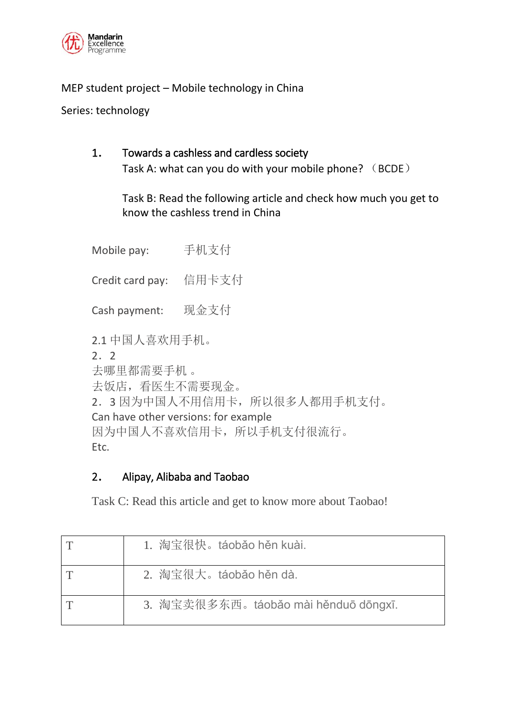

### MEP student project – Mobile technology in China

Series: technology

# 1. Towards a cashless and cardless society

Task A: what can you do with your mobile phone? (BCDE)

Task B: Read the following article and check how much you get to know the cashless trend in China

Mobile pay: 手机支付 Credit card pay: 信用卡支付 Cash payment: 现金支付 2.1 中国人喜欢用手机。 2.2 去哪里都需要手机 。 去饭店,看医生不需要现金。 2.3 因为中国人不用信用卡,所以很多人都用手机支付。 Can have other versions: for example 因为中国人不喜欢信用卡,所以手机支付很流行。 Etc.

## 2. Alipay, Alibaba and Taobao

Task C: Read this article and get to know more about Taobao!

| 1. 淘宝很快。táobǎo hěn kuài.             |
|--------------------------------------|
| 2. 淘宝很大。táobǎo hěn dà.               |
| 3. 淘宝卖很多东西。táobǎo mài hěnduō dōngxī. |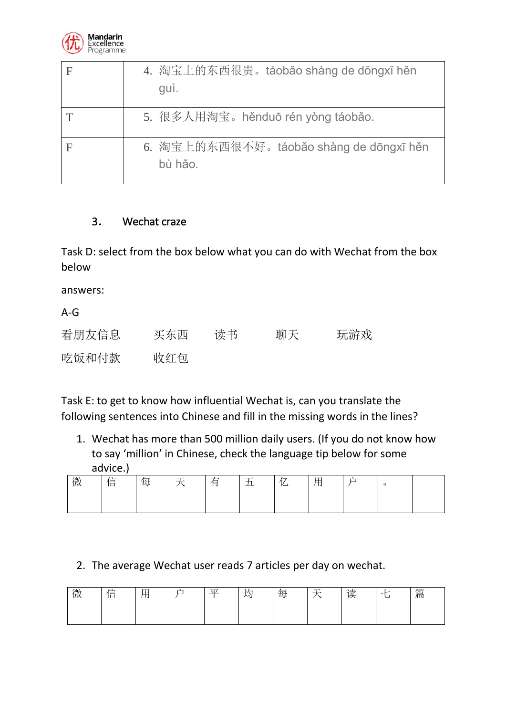

| 4. 淘宝上的东西很贵。táobǎo shàng de dōngxī hěn<br>guì.     |
|----------------------------------------------------|
| 5. 很多人用淘宝。hěnduō rén yòng táobǎo.                  |
| 6. 淘宝上的东西很不好。táobǎo shàng de dōngxī hěn<br>bù hảo. |

#### 3. Wechat craze

Task D: select from the box below what you can do with Wechat from the box below

answers:

A-G

| 看朋友信息 | 买东西 | 读书 | 聊天 | 玩游戏 |
|-------|-----|----|----|-----|
| 吃饭和付款 | 收红包 |    |    |     |

Task E: to get to know how influential Wechat is, can you translate the following sentences into Chinese and fill in the missing words in the lines?

1. Wechat has more than 500 million daily users. (If you do not know how to say 'million' in Chinese, check the language tip below for some advice.)

| 微 | 信 | 毌 | $\overline{\phantom{a}}$ | 甪 | -<br>ᅭ | ._ | -<br>- 14 | ∸<br>– | $\circ$ |  |
|---|---|---|--------------------------|---|--------|----|-----------|--------|---------|--|
|   |   |   |                          |   |        |    |           |        |         |  |

#### 2. The average Wechat user reads 7 articles per day on wechat.

| 微 | $\sqrt{2}$<br>信 | 田<br>- 14 | 户 | 亚 | 大村<br>レン | <u>. . </u><br>ᠰᡪ<br>₩ | - | 读 | ⇁ | 篇 |
|---|-----------------|-----------|---|---|----------|------------------------|---|---|---|---|
|   |                 |           |   |   |          |                        |   |   |   |   |